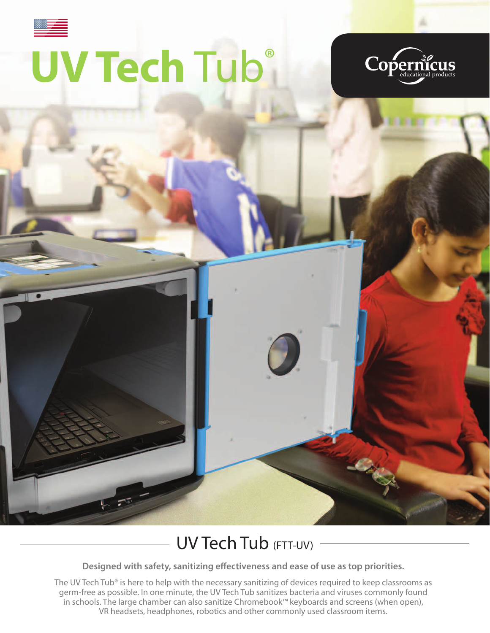# **UV Tech** Tub®





## UV Tech Tub (FTT-UV) -

**Designed with safety, sanitizing effectiveness and ease of use as top priorities.**

The UV Tech Tub® is here to help with the necessary sanitizing of devices required to keep classrooms as germ-free as possible. In one minute, the UV Tech Tub sanitizes bacteria and viruses commonly found in schools. The large chamber can also sanitize Chromebook™ keyboards and screens (when open), VR headsets, headphones, robotics and other commonly used classroom items.